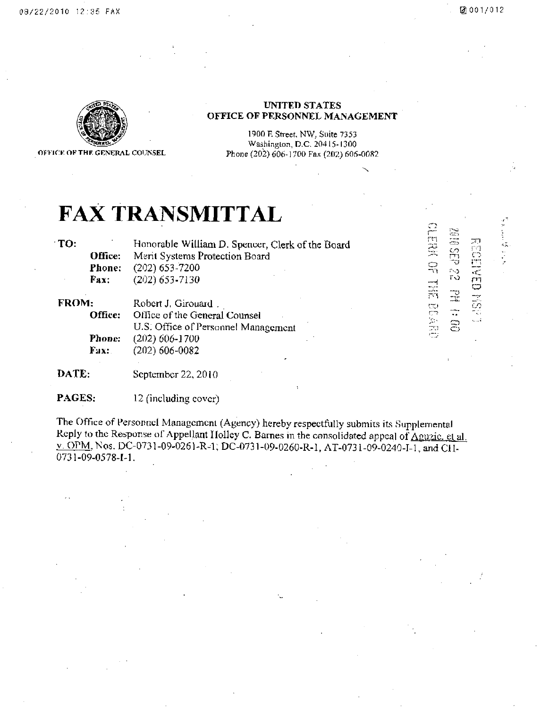.<br>ا •CO

o

rn *'"0* 

 $\stackrel{_\text{\tiny{H}}}{=}\stackrel{_\text{\tiny{H}}}{=}\,$ 

m<br>- <del>.</del>

 $\overline{\epsilon}$ n $\overline{\epsilon}$ 



OFFICE OF THE GENERAL COUNSEL

#### UNITED STATES OFFICE OF PERSONNEL MANAGEMENT

1900 H Street, NW. Suite 7353 Washington, D.C. 20415-1300 Phone (202) 606-1700 Fax (202) 606-0082

# **FAX TRANSMITTAL**

TO:

Office: Fhone: Fax: Honorable William D. Spencer, Clerk of the Board Merit Systems Protection Board (202) 653-7200 (202) 653-7130

FROM:

Office: Phone: Fax: Robert J. Girouard . Office of the General Counsel U.S. Office of Personnel Management (202)606-1700 (202) 606-0082

DATE: September 22, 2010

PAGES: 12 (including cover)

The Office of Personnel Management (Agency) hereby respectfully submits its Supplemental Reply to the Response of Appellant Holley C. Barnes in the consolidated appeal of  $\triangle$ guzic. et al. v. OPM, Nos. DC-0731-09-0261-R-1; DC-0731-09-0260-R-1, AT-0731-09-0240-I-1, and CH-0731-09-0578-I-1.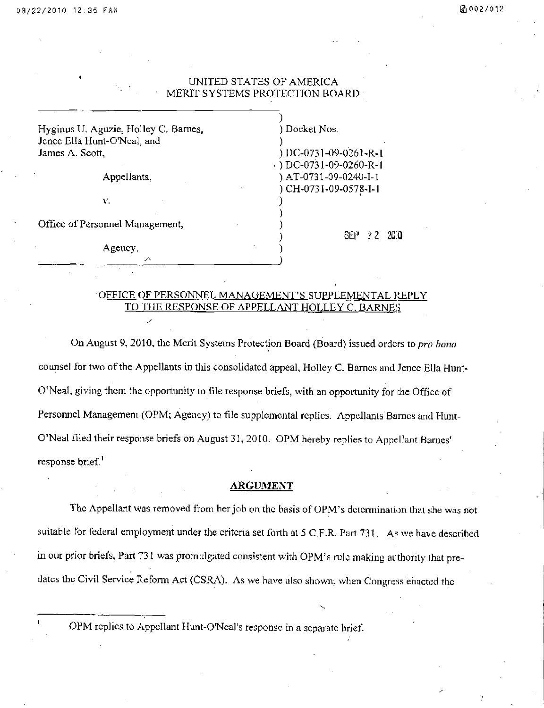#### UNITED STATES OF AMERICA MERIT SYSTEMS PROTECTION BOARD

| Hyginus U. Aguzie, Holley C. Barnes,<br>Jenee Ella Hunt-O'Neal, and | ) Docket Nos.                     |
|---------------------------------------------------------------------|-----------------------------------|
| James A. Scott,                                                     | ) DC-0731-09-0261-R-1             |
|                                                                     | $\rightarrow$ DC-0731-09-0260-R-1 |
| Appellants,                                                         | ) AT-0731-09-0240-I-1             |
|                                                                     | ) CH-0731-09-0578-I-1             |
| V.                                                                  |                                   |
|                                                                     |                                   |
| Office of Personnel Management,                                     |                                   |
|                                                                     | <b>SEP</b><br>-22.200             |
| Agency.                                                             |                                   |
| ↗                                                                   |                                   |
|                                                                     |                                   |

#### OFFICE OF PERSONNEL MANAGEMENT'S SUPPLEMENTAL REPLY TO THE RESPONSE OF APPELLANT HOLLEY C. BARNES

On August 9, 2010, the Merit Systems Protection Board (Board) issued orders to pro hono counsel for two of the Appellants in this consolidated appeal, Holley C. Barnes and Jenee Ella Hunt-O'Neal, giving them the opportunity lo file response briefs, with an opportunity for the Office of Personnel Management (OPM; Agency) to file supplemental replies. Appellants Barnes and Hunt-O'Neal filed their response briefs on August 31, 2010. OPM hereby replies to Appellant Barnes' response brief.<sup>1</sup>

#### ARGUMENT

The Appellant was removed from her job on the basis of OPM's determination that she was not suitable for federal employment under the criteria set forth at 5 C.F.R. Part 731. As we have described in our prior briefs, Part 731 was promulgated consistent with OPM's rule making authority ihat predates the Civil Service Reform Act (CSRA). As we have also shown, when Congress enacted the

OPM replies to Appellant Hunt-O'Neal's response in a separate brief.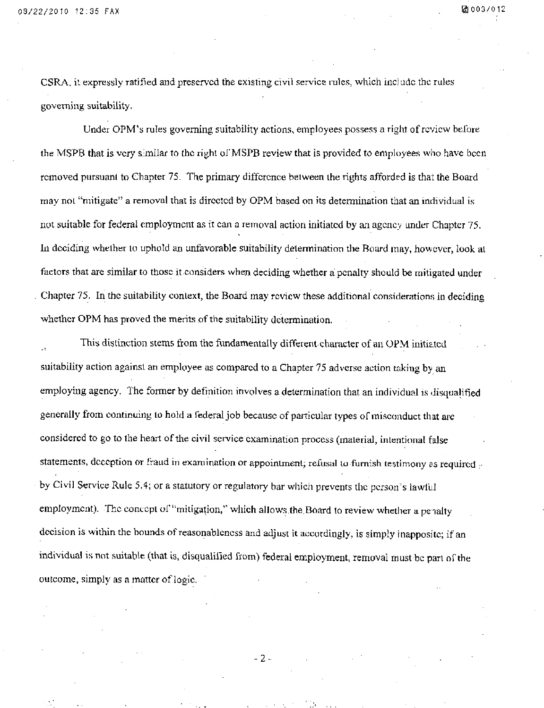CSRA, il expressly ratified and preserved the existing civil service lules, which include.the rules governing suitability.

Under OPM's rules governing suitability actions, employees possess a right of review before the MSPB that is very similar to the right of MSPB review that is provided to employees who have been removed pursuant to Chapter 75. The primary difference between the rights afforded is that the Board may nol "mitigate" a removal that is directed by OPM based on its determination that an individual is not suitable for federal employment as it can a removal action initiated by an agency under Chapter 75. In deciding whether to uphold an unfavorable suitability determination the Board may, however, look at factors that are similar to those it considers when deciding whether a penalty should be mitigated under Chapter 75. In the suitability context, the Board may review these additional considerations in deciding whether OPM has proved the merits of the suitability determination.

This distinction stems from the fundamentally different character of an OPM initiated suitability action against an employee as compared to a Chapter 75 adverse action taking by an employing agency. The former by definition involves a determination that an individual is disqualified generally from continuing lo hold a federal job because of particular types of misconduct that are considered to go to the heart of the civil service examination process (material, intentional false statements, deception or fraud in examination or appointment; refusal to furnish testimony as required  $\sim$ by Civil Service Rule 5.4; or a statutory or regulatory bar which prevents the person's lawful employment). The concept of "mitigation," which allows the Board to review whether a penalty decision is within the bounds of reasonableness and adjust it accordingly, is simply inapposite; if an individual is not suitable (that is, disqualified from) federal employment, removal must be part of the outcome, simply as a matter of logic.

- 2 -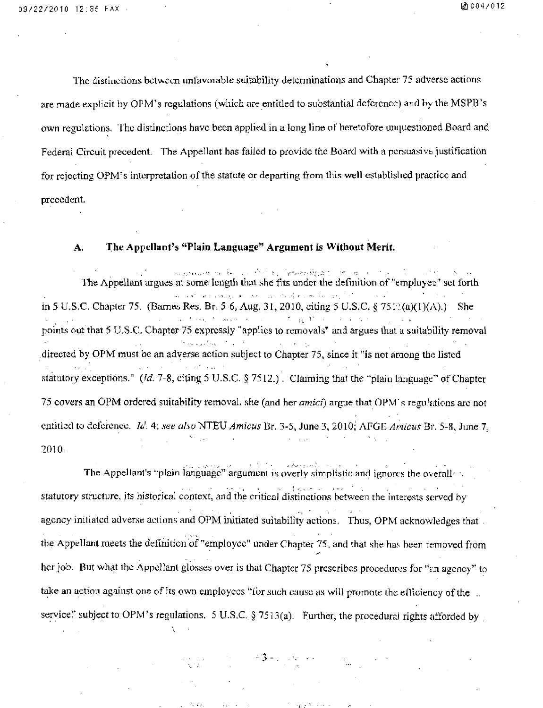The distinctions between unfavorable suitability determinations and Chapter 75 adverse actions are made explicit by OPM's regulations (wliich are entitled to substantial deference) and by the MSPB's own regulations. The distinctions have been applied in a long line of heretofore unquestioned Board and Federal Circuit precedent. The Appellant has failed to provide the Board with a persuasive justification for rejecting OPM's interpretation of the statute or departing from this well established practice and precedent.

#### **A. The Appellant^s "Plain Language" Argument is Without Merit.**

e procedure to factory for a femeralpying the more and a state of the The Appellant argues at some length lhat she fits under the definition of "employee" set forth كالأرادي المكافحان والإسلاميين المعارفة للمنطوق والمواكلات للا in 5 U.S.C. Chapter 75. (Barnes Res. Br. 5-6, Aug. 31, 2010, citing 5 U.S.C. § 751:(a)(1)(A).) She points out that 5 U.S-C. Chapter 75 expressly "applies lo removals" and argues thai a suiiability removal directed by OPM must be an adverse action subject to Chapter 75, since it "is not among the listed statutory exceptions." (Id. 7-8, citing 5 U.S.C. § 7512.). Claiming that the "plain language" of Chapter 75 covers an OPM ordered suitability removal, she (and her amici) argue that OPM's regulations arc not entitled to deference. Id. 4; see also NTEU Amicus Br. 3-5, June 3, 2010; AFGE Amicus Br. 5-8, June 7, 2010.

The Appellant's "plain language" argument is overly simplistic and ignores the overally statutory structure, its historical context, and the critical distinctions between the interests served by agency initiated adverse actions and OPM initiated suitability actions. Thus, OPM acknowledges that . the Appellant meets the definition of "employee" under Chapter 75, and that she has been removed from her job. But what the Appellant glosses over is that Chapter 75 prescribes procedures for "an agency" to take an action against one of its own employees "for such cause as will promote the efficiency of the service.'' subject to OPM's regulations. 5 U.S.C, § 7513(a). Further, the procedural rights afforded by

 $-3 - 1$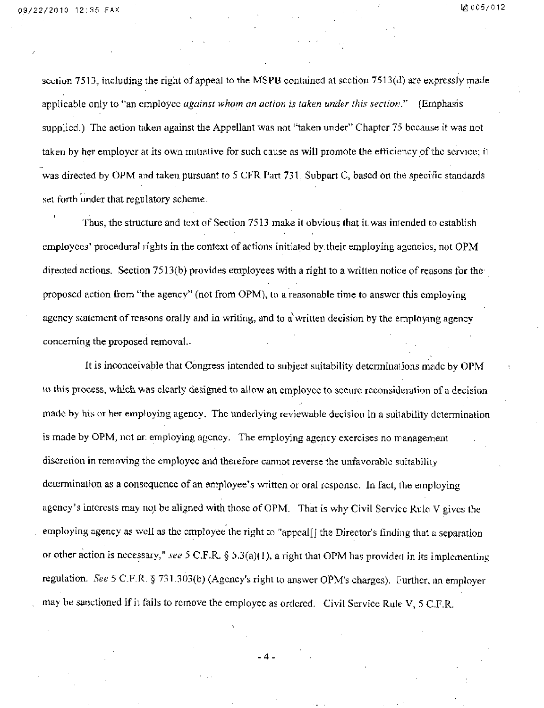section 7513, including the right of appeal to the MSPB contained at section 7513(d) are expressly made applicable only to "an employee *against whom an action is taken under this section*." (Emphasis supplied.) The action taken against the Appellant was not "taken under" Chapter 75 because it was not taken by her employer at its own initiative for such cause as will promote the efficiency of the service; it was directed by OPM and taken pursuant to 5 CFR Part 731. Subpart C, based on the specific standards set forth under that regulatory scheme.

Thus, the structure and text of Section 7513 make it obvious that it was intended to establish employees' procedural rights in the context of actions initiated by their employing agencies, not OPM directed actions. Section 7513(b) provides employees with a right to a written notice of reasons for the proposed action from ''the agency" (not from OPM), lo a reasonable time to answer this employing agency statement of reasons orally and in writing, and to a written decision by the employing agency conceming the proposed removal.-

It is inconceivable that Congress intended to subject suitability determinations made by OPM lo this process, which was clearly designed to allow an employee to secure reconsideration of a decision made by his or her employing agency. The underlying reviewable decision in a suitability dcierminalion is made by OPM, not ar. employing agency. The employing agency exercises no management discretion in removing the employee and therefore cannot reverse the unfavorable suitability dcierminalion as a consequence of an employee's written or oral response. In fact, the employing agency's interests may not be aligned with those of OPM. That is why Civil Service Rule V gives the employing agency as well as the employee the right to "appcal[] the Director's finding that a separation or other action is necessary," see 5 C.F.R. § 5.3(a)(1), a right that OPM has provided in its implementing regulation. See 5 CF.R. § 731.303(b) (Agency's right to answer OPM's charges). Further, an employer may be sanctioned if it fails to remove the employee as ordered. Civil Service Rule V, 5 C.F.R.

 $\Delta$ .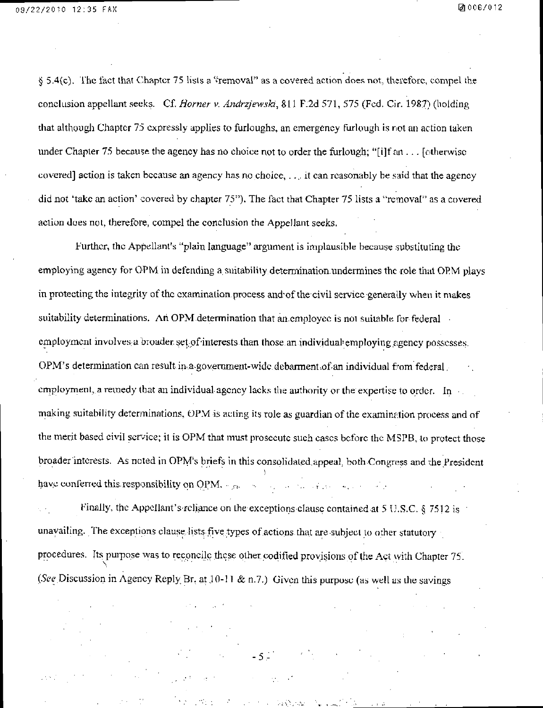§ 5.4(c). The fact that Chapter 75 lists a "removal" as a covered action does not, therefore, compel the conclusion appellant seeks. Cf. Horner v. Andrzjewski, 811 F:2d 571, 575 (Fed. Cir. 1987) (holding that although Chapter 75 expressly applies to furloughs, an emergency furlough is not an action taken under Chapter 75 because the agency has no choice not to order the furlough; "[i]f an . .. [otherwise covered] action is taken because an agency has no choice, . .,. it can reasonably be said that the agency did not 'take an action' covered by chapter 75"). The fact that Chapter 75 lists a "removal" as a covered action does not, therefore, compel the conclusion the Appellant seeks.

Further, the Appellant's "plain language" argument is implausible because substituting the employing agency for OPM in defending a suitability determination undermines the role that OPM plays in protecting the integrity of the examination process and of the civil service generally when it makes suitability determinations. An OPM determination that an employee is not suitable for federal employment involves a broader set of interests than those an individual employing agency possesses. OPM's determination can result in a government-wide debarment of an individual from federal, employment, a remedy that an individual agency lacks the authority or the expertise to order. In making suitability determinations, OPM is acting its role as guardian of the examination process and of the merit based civil service; it is OPM that must prosecute such cases before the MSPB, to protect those broader interests. As noted in OPM's briefs in this consolidated appeal, both Congress and the President have conferred this responsibility on  $QPM$ .  $r_{\text{max}}$  and  $r_{\text{max}}$  are  $r_{\text{max}}$  and  $r_{\text{max}}$  are  $r_{\text{max}}$ .

Finally, the Appellant's reliance on the exceptions clause contained at 5 U.S.C. § 7512 is unavailing. The exceptions clause, lists five types of actions that are subject to other statutory procedures. Its purpose was to reconcile these other codified provisions of the Act with Chapter 75. (See Discussion in Agency Reply Br, at 10-11 & n.7.) Given this purpose (as well as the savings

 $-5<sup>2</sup>$ 

 $2\Delta\left(1/\rho_{\rm{max}}\right)$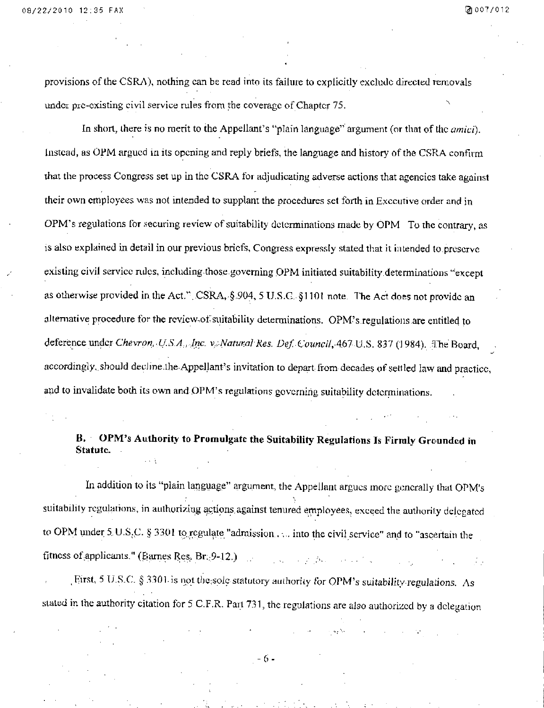provisions of the CSRA), nothing can be read into its failure to explicitly exclude directed removals under pre-existing civil service rules from the coverage of Chapter 75. ^

In short, there is no merit to the Appellant's "plain language" argument (or that of the *amici*). Instead, as OPM argued in its opening and reply briefs, the language and history of the CSRA confurn **that the process Congress set up in the CSRA for adjudicating adverse actions that agencies take against their own employees was not intended to supplant the procedures set forth in Executive order and in**  OPM's regulations for securing review of suitability determinations made by OPM To the contrary, as **is also explained in detail in our previous briefs. Congress expressly stated that it intended to preserve existing civil service rules, including those governing OPM initiated suitability determinations ^'except**  as otherwise provided in the Act.". CSRA, §,904, 5 U.S.C. §1101 note. The Act does not provide an **alternative procedure for the rcvicw.of suitabilily determinations. OPM's.regulations.are entitled to**  deference under Chevron, U.S.A., Inc. v. Natural Res. Def. Council, 467 U.S. 837 (1984). The Board, accordingly, should decline.the Appellant's invitation to depart from decades of settled law and practice, and to invalidate both its own and OPM's regulations governing suitability determinations.

### **B.** OPM's Authority to Promulgate the Suitability Regulations Is Firmly Grounded in **Statute.**

In addition to its "plain language" argument, the Appellant argues more generally that OPM's suitability regulations, in authorizing actions against tenured employees, exceed the authority delegated to OPM under 5, U.S.C. § 3301 to regulate "admission . ... into the civil service" and to "ascertain the fitness of :applicanis.''(BLunes Res. Br;;9-12.) . . .

First, 5 U.S.C. § 3301- is not the;sole statutory authority for OPM's suitability regulations. As slated in the authority citation for 5 C.F.R. Part 731, the regulations are also authorized by a delegation

 $-6-$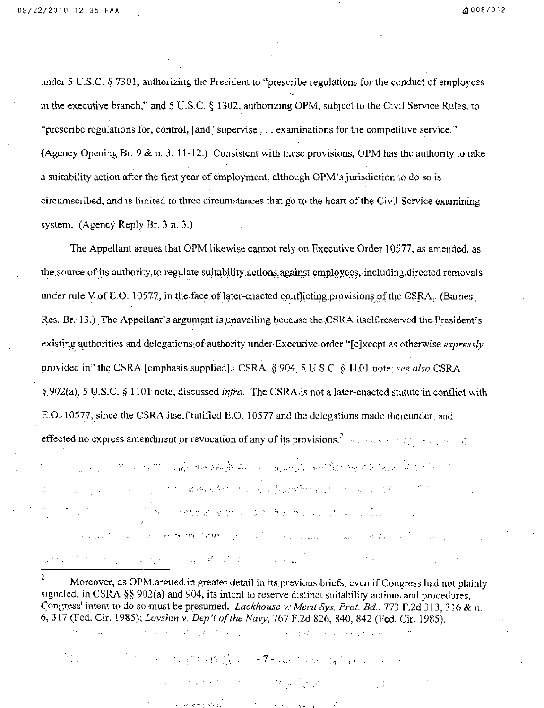$\langle\hat{G}_{\mathbf{z}}\hat{G}_{\mathbf{z}}\rangle$  and  $\langle\hat{G}_{\mathbf{z}}\hat{G}_{\mathbf{z}}\hat{G}_{\mathbf{z}}\rangle$ 

 $\mathcal{L}^{\text{max}}_{\text{max}}$ 

 $\sim 10^{11}$  km s  $^{-1}$ 

under 5 U.S.C § 7301, authorizing the President to "prescribe regulations for the conduct cf employees in the executive branch," and 5 U.S.C. § 1302, authorizing OPM, subjcet to the Civil Service Rules, to "prescribe regulations for, control, [and] supervise  $\ldots$  examinations for the competitive service." (Agency Opening Br,  $9 \& n. 3$ , 11-12.) Consistent with these provisions, OPM has the authority to take a suitability action after the first year of employment, although OPM's jurisdiction to do so is circumscribed, and is limited to three circumstances that go to the heart of the Civil Service examining system. (Agency Reply Br. 3 n. 3.)

The Appellant argues that OPM likewise cannot rely on Executive Order 10577, as amended, as the source of its authority to regulate suitability actions against employees, including directed removals, under rule V of E-Q. 10577, in the face of later-enacted conflicting provisions of the CSRA. (Barnes, Res. Br.  $13.$ ) The Appellant's argument is unavailing because the CSRA itself-reserved the President's existing authorities and delegations: of authority under Executive order."[c]xccpt as otherwise expresslyprovided in" the CSRA [emphasis supplied].: CSRA, § 904, 5, U.S.C. § 1101 note; see also CSRA §.902(a), 5 U.S.C. § 1101 note, discussed *infra*. The CSRA is not a later-enacted statute in conflict with E.O.-10577, since the CSK A itself ratified E.O. 10577 and the delegations made thereunder, and effectednocxpressamendment .or revocationof anyof itsprpyi.sions.^ . ; r:\_ . . .,-.

าราย 1999 การประเทศ 1 เมษายน 1996 ในสมัย ระบาทรองเทพโท เจทิตให้สถานที่ 4 มี สิ่งเรียว ที่ 1 สำหรับ 1 ที่ 1 สำ

and the consistent of a light for put of a soft of a fit of

and<br>The Stock of the State of the State of the State of the State of the State of the State of the State of the State of the State of the State of the State of the State of the State of the State of the State of the State

^ Moreover, as OPM argued;in greater detail in its, previous briefs, even if Congress had not plainly signaled, in CSRA §§ 902(a) and 904, its intent to reserve distinct suitability actions and procedures, Congress' intent to do so must be presumed. Lackhouse v: Merit Sys. Prot. Bd., 773 F.2d 313, 316 & n. 6, 317 (Fed. Cir. 1985); Lovshin v. Dep't of the Navy, 767 F.2d 826, 840, 842 (Fed. Cir. 1985).

a sa mga bayan ng Kabupatèn Bandang Kalipang Salam Salam Sangang Kabupatèn Kalipang Kabupatèn Kalipang Salam S

and the state of the state of the state of the state of the state of the state of the state of the state of the

The Carpenter process.

**1999** County of the Band of the County of the County of the County of the County of the County of the County of the County of the County of the County of the County of the County of the County of the County of the County

**中国的社会和国家的社会和科学研究** 

kin which will be paper and the control of the second space of the control of the

**Concert Address of Concert**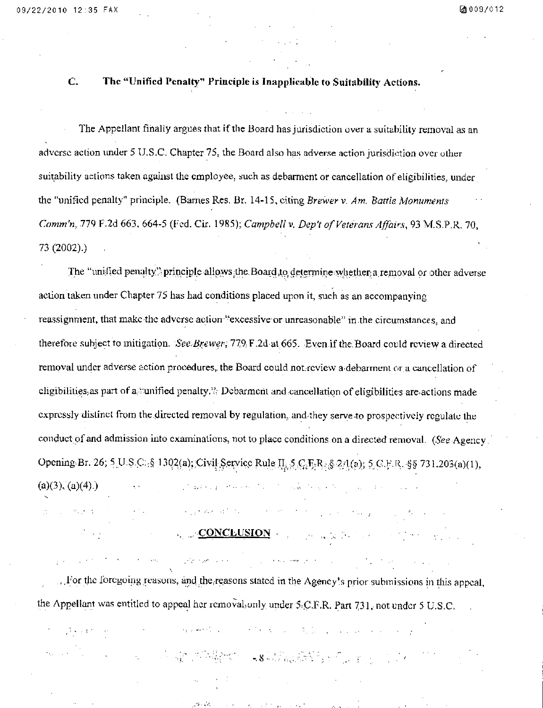#### C. The "Unified Penalty" Principle is Inapplicable to Suitability Actions.

The Appellant finally argues that if the Board has jurisdiction over a suitability removal as an adverse action under 5 U.S.C. Chapter 75, the Board also has adverse action jurisdiction over other suitability actions taken against the employee, such as debarment or cancellation of eligibilities, under the "unified penalty" principle. (Barnes Res. Br. 14-15, citing Brewer v. Am. Battle Monuments Comm'n, 779 F.2d 663, 664-5 (Fed. Cir. 1985); Campbell v. Dep't of Veterans Affairs, 93 M.S.P.R. 70, 73 (2002).)

The "unified penalty" principle allows the Board to determine whether a removal or other adverse action taken under Chapter 75 has had conditions placed upon it, such as an accompanying reassignment, that make the adverse action "excessive or unreasonable" in .the circumstances, and therefore subject to mitigation. See Brewer; 779. F.2d at 665. Even if the Board could review a directed removal under adverse action procedures,, the Board could not. review a debarment or a cancellation of cligibilities, as part of a, "unified penalty.": Debarment and cancellation of eligibilities are actions made expressly distinct from the directed removal by regulation, and they serve-to prospectively regulate the conduct of and admission into examinations, not to place conditions on a directed removal. (See Agency. Opening-Br. 26; S<sub>.</sub>U.S.C. § 1302(a); Civil Service Rule II, 5 C, F, R. § 24(a); 5 C.F.R. §§ 731.203(a)(1), (a)(3), (a)(4).) ^ • ... . . -,.

## CONCLUSION • 1999 POSSESSION • 1999 POSSESSION • 1999 POSSESSION • 1999 POSSESSION • 1999 POSSESSION • 1999 POSSESSION • 1999 POSSESSION • 1999 POSSESSION • 1999 POSSESSION • 1999 POSSESSION • 1999 POSSESSION • 1999 POSSES

 $\mathcal{L}^{\mathcal{L}}(\mathcal{L}^{\mathcal{L}})$  is the contribution of the  $\mathcal{L}^{\mathcal{L}}(\mathcal{L}^{\mathcal{L}})$ 

 $\mathcal{O}(\mathcal{O})$  ,  $\mathcal{O}(\mathcal{O})$ 

 $\mathcal{A}$  and  $\mathcal{A}$  with  $\mathcal{A}$ 

... For the foregoing reasons, and the reasons stated in the Agency's prior submissions in this appeal, the Appellant was entitled to appeal her removal, only under 5:C.F.R. Part 731, not under 5 U.S.C.

and the company of the company of the company of the company of the company of the company of the company of the

 $\mathcal{L}_{\text{max}} = \mathcal{L}(\mathbf{u}, \mathbf{u}) + \mathbf{d}\mathbf{e} \mathbf{e}^{-\frac{1}{2}\mathbf{e}^{\mathrm{T}}_{\mathbf{e}}}\mathbf{z}$ 

**The Property Section 1999** 

-.8